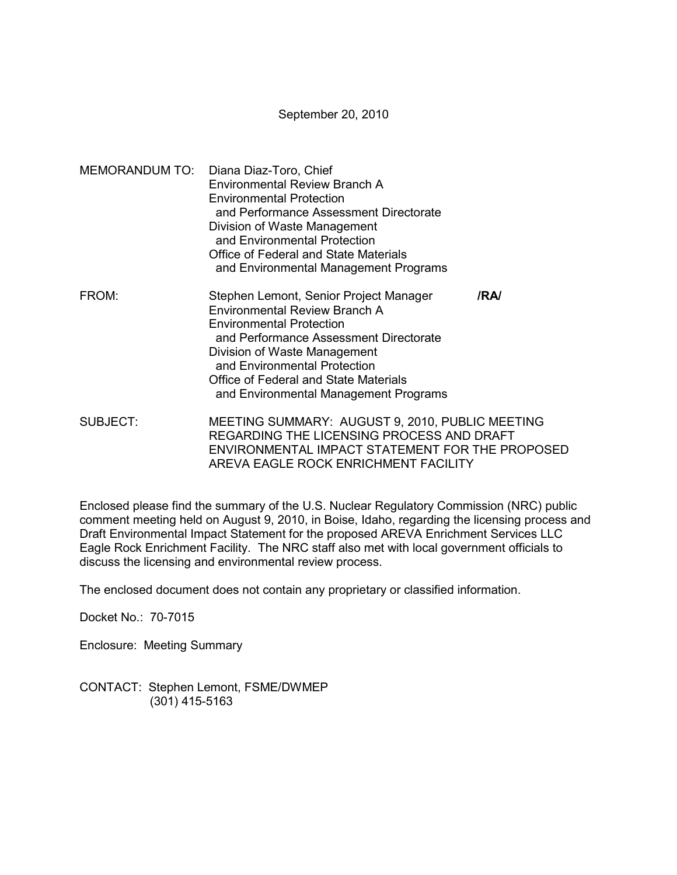September 20, 2010

- MEMORANDUM TO: Diana Diaz-Toro, Chief Environmental Review Branch A Environmental Protection and Performance Assessment Directorate Division of Waste Management and Environmental Protection Office of Federal and State Materials and Environmental Management Programs FROM: Stephen Lemont, Senior Project Manager **/RA/**  Environmental Review Branch A Environmental Protection and Performance Assessment Directorate Division of Waste Management and Environmental Protection Office of Federal and State Materials and Environmental Management Programs
- SUBJECT: MEETING SUMMARY: AUGUST 9, 2010, PUBLIC MEETING REGARDING THE LICENSING PROCESS AND DRAFT ENVIRONMENTAL IMPACT STATEMENT FOR THE PROPOSED AREVA EAGLE ROCK ENRICHMENT FACILITY

Enclosed please find the summary of the U.S. Nuclear Regulatory Commission (NRC) public comment meeting held on August 9, 2010, in Boise, Idaho, regarding the licensing process and Draft Environmental Impact Statement for the proposed AREVA Enrichment Services LLC Eagle Rock Enrichment Facility. The NRC staff also met with local government officials to discuss the licensing and environmental review process.

The enclosed document does not contain any proprietary or classified information.

Docket No.: 70-7015

Enclosure: Meeting Summary

CONTACT: Stephen Lemont, FSME/DWMEP (301) 415-5163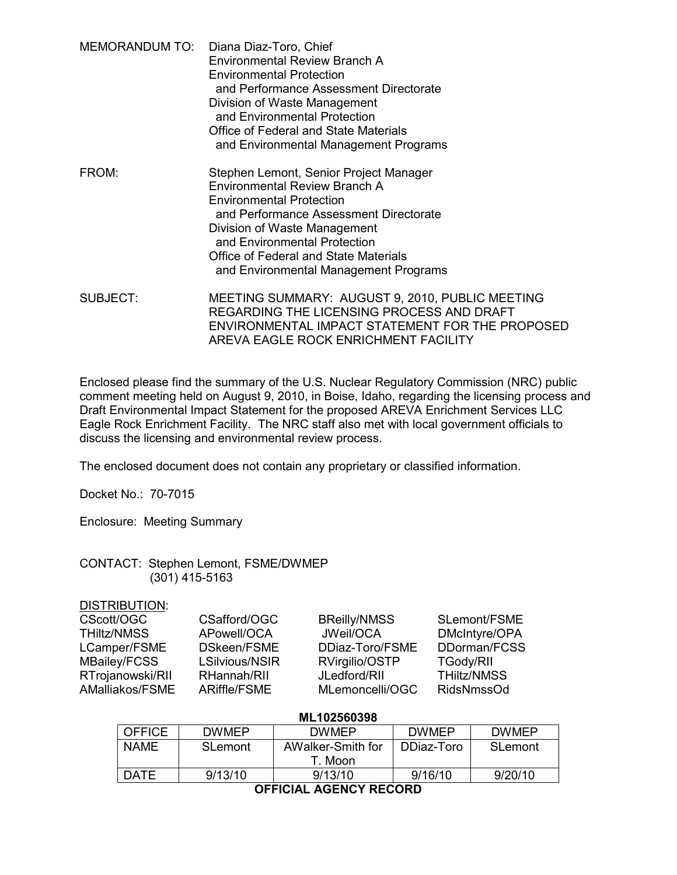| MEMORANDUM TO: Diana Diaz-Toro, Chief  |
|----------------------------------------|
| <b>Environmental Review Branch A</b>   |
| <b>Environmental Protection</b>        |
| and Performance Assessment Directorate |
| Division of Waste Management           |
| and Environmental Protection           |
| Office of Federal and State Materials  |
| and Environmental Management Programs  |
|                                        |

- FROM: Stephen Lemont, Senior Project Manager Environmental Review Branch A Environmental Protection and Performance Assessment Directorate Division of Waste Management and Environmental Protection Office of Federal and State Materials and Environmental Management Programs
- SUBJECT: MEETING SUMMARY: AUGUST 9, 2010, PUBLIC MEETING REGARDING THE LICENSING PROCESS AND DRAFT ENVIRONMENTAL IMPACT STATEMENT FOR THE PROPOSED AREVA EAGLE ROCK ENRICHMENT FACILITY

Enclosed please find the summary of the U.S. Nuclear Regulatory Commission (NRC) public comment meeting held on August 9, 2010, in Boise, Idaho, regarding the licensing process and Draft Environmental Impact Statement for the proposed AREVA Enrichment Services LLC Eagle Rock Enrichment Facility. The NRC staff also met with local government officials to discuss the licensing and environmental review process.

The enclosed document does not contain any proprietary or classified information.

Docket No.: 70-7015

Enclosure: Meeting Summary

### CONTACT: Stephen Lemont, FSME/DWMEP (301) 415-5163

### DISTRIBUTION:

| CScott/OGC       | CSafford/OGC   | <b>BReilly/NMSS</b> | SLemont/FSME       |
|------------------|----------------|---------------------|--------------------|
| THiltz/NMSS      | APowell/OCA    | JWeil/OCA           | DMcIntyre/OPA      |
| LCamper/FSME     | DSkeen/FSME    | DDiaz-Toro/FSME     | DDorman/FCSS       |
| MBailey/FCSS     | LSilvious/NSIR | RVirgilio/OSTP      | <b>TGody/RII</b>   |
| RTrojanowski/RII | RHannah/RII    | JLedford/RII        | <b>THiltz/NMSS</b> |
| AMalliakos/FSME  | ARiffle/FSME   | MLemoncelli/OGC     | <b>RidsNmssOd</b>  |

| ML102560398                                              |              |                   |              |              |  |  |
|----------------------------------------------------------|--------------|-------------------|--------------|--------------|--|--|
| <b>OFFICE</b>                                            | <b>DWMFP</b> | <b>DWMFP</b>      | <b>DWMEP</b> | <b>DWMEP</b> |  |  |
| <b>NAME</b>                                              | SLemont      | AWalker-Smith for | DDiaz-Toro   | SLemont      |  |  |
|                                                          |              | T. Moon           |              |              |  |  |
| <b>DATE</b>                                              | 9/13/10      | 9/13/10           | 9/16/10      | 9/20/10      |  |  |
| $\bigcap$ $\bigcap$ $\bigcap$ $\bigcap$<br>ACCHAV BECABB |              |                   |              |              |  |  |

**OFFICIAL AGENCY RECORD**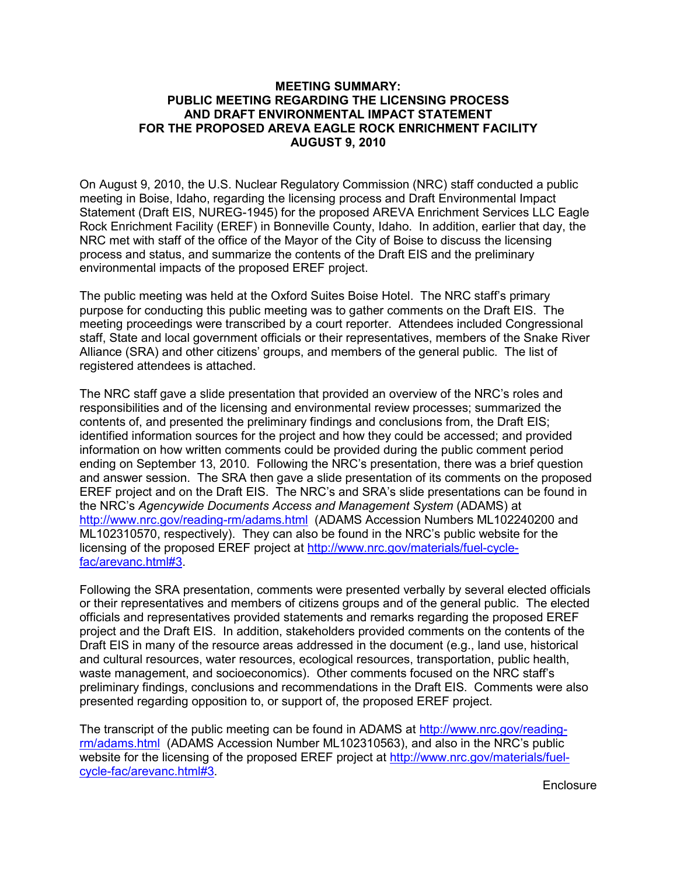# **MEETING SUMMARY: PUBLIC MEETING REGARDING THE LICENSING PROCESS AND DRAFT ENVIRONMENTAL IMPACT STATEMENT FOR THE PROPOSED AREVA EAGLE ROCK ENRICHMENT FACILITY AUGUST 9, 2010**

On August 9, 2010, the U.S. Nuclear Regulatory Commission (NRC) staff conducted a public meeting in Boise, Idaho, regarding the licensing process and Draft Environmental Impact Statement (Draft EIS, NUREG-1945) for the proposed AREVA Enrichment Services LLC Eagle Rock Enrichment Facility (EREF) in Bonneville County, Idaho. In addition, earlier that day, the NRC met with staff of the office of the Mayor of the City of Boise to discuss the licensing process and status, and summarize the contents of the Draft EIS and the preliminary environmental impacts of the proposed EREF project.

The public meeting was held at the Oxford Suites Boise Hotel. The NRC staff's primary purpose for conducting this public meeting was to gather comments on the Draft EIS. The meeting proceedings were transcribed by a court reporter.Attendees included Congressional staff, State and local government officials or their representatives, members of the Snake River Alliance (SRA) and other citizens' groups, and members of the general public. The list of registered attendees is attached.

The NRC staff gave a slide presentation that provided an overview of the NRC's roles and responsibilities and of the licensing and environmental review processes; summarized the contents of, and presented the preliminary findings and conclusions from, the Draft EIS; identified information sources for the project and how they could be accessed; and provided information on how written comments could be provided during the public comment period ending on September 13, 2010. Following the NRC's presentation, there was a brief question and answer session. The SRA then gave a slide presentation of its comments on the proposed EREF project and on the Draft EIS. The NRC's and SRA's slide presentations can be found in the NRC's *Agencywide Documents Access and Management System* (ADAMS) at http://www.nrc.gov/reading-rm/adams.html(ADAMS Accession Numbers ML102240200 and ML102310570, respectively). They can also be found in the NRC's public website for the licensing of the proposed EREF project at http://www.nrc.gov/materials/fuel-cyclefac/arevanc.html#3.

Following the SRA presentation, comments were presented verbally by several elected officials or their representatives and members of citizens groups and of the general public. The elected officials and representatives provided statements and remarks regarding the proposed EREF project and the Draft EIS. In addition, stakeholders provided comments on the contents of the Draft EIS in many of the resource areas addressed in the document (e.g., land use, historical and cultural resources, water resources, ecological resources, transportation, public health, waste management, and socioeconomics). Other comments focused on the NRC staff's preliminary findings, conclusions and recommendations in the Draft EIS. Comments were also presented regarding opposition to, or support of, the proposed EREF project.

The transcript of the public meeting can be found in ADAMS at http://www.nrc.gov/readingrm/adams.html(ADAMS Accession Number ML102310563), and also in the NRC's public website for the licensing of the proposed EREF project at http://www.nrc.gov/materials/fuelcycle-fac/arevanc.html#3.